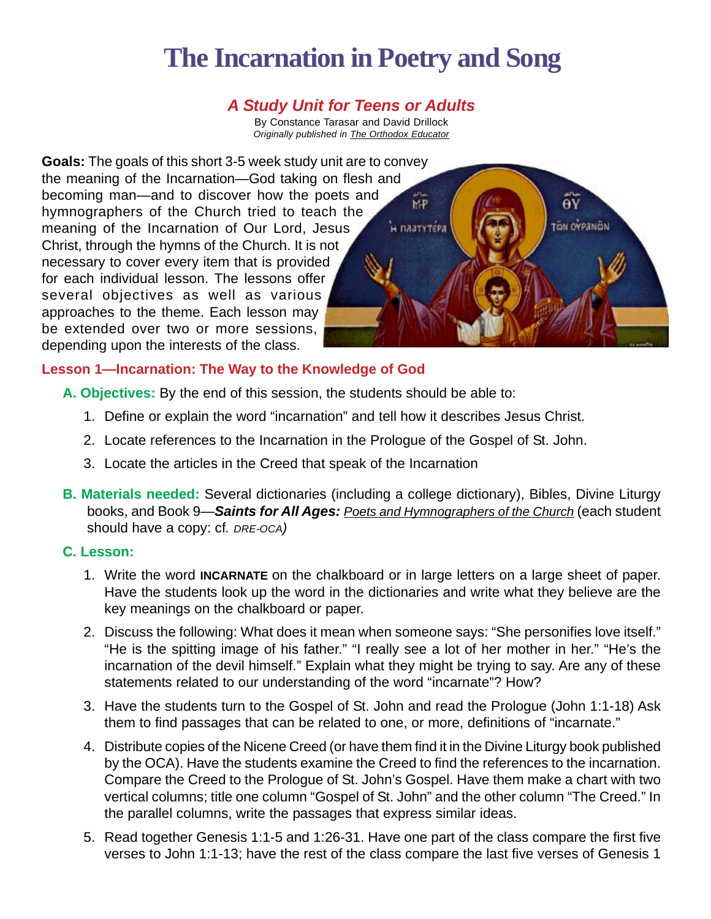# **The Incarnation in Poetry and Song**

## *A Study Unit for Teens or Adults*

By Constance Tarasar and David Drillock *Originally published in The Orthodox Educator* 

**Goals:** The goals of this short 3-5 week study unit are to convey the meaning of the Incarnation—God taking on flesh and becoming man—and to discover how the poets and hymnographers of the Church tried to teach the meaning of the Incarnation of Our Lord, Jesus Christ, through the hymns of the Church. It is not necessary to cover every item that is provided for each individual lesson. The lessons offer several objectives as well as various approaches to the theme. Each lesson may be extended over two or more sessions, depending upon the interests of the class.



## **Lesson 1—Incarnation: The Way to the Knowledge of God**

- **A. Objectives:** By the end of this session, the students should be able to:
	- 1. Define or explain the word "incarnation" and tell how it describes Jesus Christ.
	- 2. Locate references to the Incarnation in the Prologue of the Gospel of St. John.
	- 3. Locate the articles in the Creed that speak of the Incarnation
- **B. Materials needed:** Several dictionaries (including a college dictionary), Bibles, Divine Liturgy books, and Book 9—*Saints for All Ages: Poets and Hymnographers of the Church* (each student should have a copy: cf*. DRE-OCA)*

#### **C. Lesson:**

- 1. Write the word **INCARNATE** on the chalkboard or in large letters on a large sheet of paper. Have the students look up the word in the dictionaries and write what they believe are the key meanings on the chalkboard or paper.
- 2. Discuss the following: What does it mean when someone says: "She personifies love itself." "He is the spitting image of his father." "I really see a lot of her mother in her." "He's the incarnation of the devil himself." Explain what they might be trying to say. Are any of these statements related to our understanding of the word "incarnate"? How?
- 3. Have the students turn to the Gospel of St. John and read the Prologue (John 1:1-18) Ask them to find passages that can be related to one, or more, definitions of "incarnate."
- 4. Distribute copies of the Nicene Creed (or have them find it in the Divine Liturgy book published by the OCA). Have the students examine the Creed to find the references to the incarnation. Compare the Creed to the Prologue of St. John's Gospel. Have them make a chart with two vertical columns; title one column "Gospel of St. John" and the other column "The Creed." In the parallel columns, write the passages that express similar ideas.
- 5. Read together Genesis 1:1-5 and 1:26-31. Have one part of the class compare the first five verses to John 1:1-13; have the rest of the class compare the last five verses of Genesis 1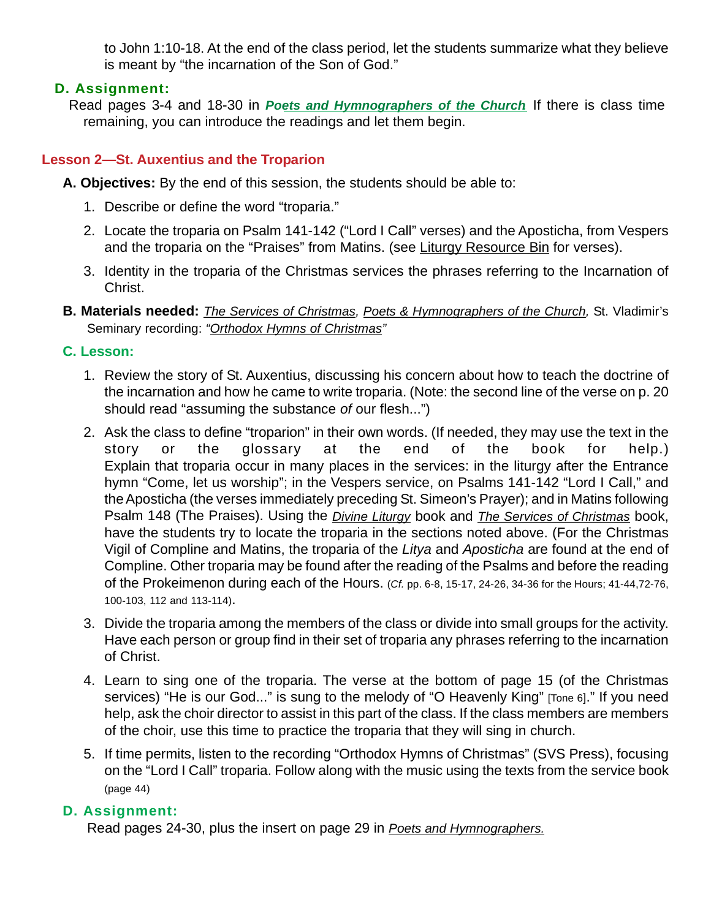to John 1:10-18. At the end of the class period, let the students summarize what they believe is meant by "the incarnation of the Son of God."

## **D. Assignment:**

Read pages 3-4 and 18-30 in *Poets and Hymnographers of the Church.* If there is class time remaining, you can introduce the readings and let them begin.

## **Lesson 2—St. Auxentius and the Troparion**

**A. Objectives:** By the end of this session, the students should be able to:

- 1. Describe or define the word "troparia."
- 2. Locate the troparia on Psalm 141-142 ("Lord I Call" verses) and the Aposticha, from Vespers and the troparia on the "Praises" from Matins. (see Liturgy Resource Bin for verses).
- 3. Identity in the troparia of the Christmas services the phrases referring to the Incarnation of Christ.
- **B. Materials needed:** *The Services of Christmas, Poets & Hymnographers of the Church,* St. Vladimir's Seminary recording: *"Orthodox Hymns of Christmas"*

### **C. Lesson:**

- 1. Review the story of St. Auxentius, discussing his concern about how to teach the doctrine of the incarnation and how he came to write troparia. (Note: the second line of the verse on p. 20 should read "assuming the substance *of* our flesh...")
- 2. Ask the class to define "troparion" in their own words. (If needed, they may use the text in the story or the glossary at the end of the book for help.) Explain that troparia occur in many places in the services: in the liturgy after the Entrance hymn "Come, let us worship"; in the Vespers service, on Psalms 141-142 "Lord I Call," and the Aposticha (the verses immediately preceding St. Simeon's Prayer); and in Matins following Psalm 148 (The Praises). Using the *Divine Liturgy* book and *The Services of Christmas* book, have the students try to locate the troparia in the sections noted above. (For the Christmas Vigil of Compline and Matins, the troparia of the *Litya* and *Aposticha* are found at the end of Compline. Other troparia may be found after the reading of the Psalms and before the reading of the Prokeimenon during each of the Hours. (*Cf.* pp. 6-8, 15-17, 24-26, 34-36 for the Hours; 41-44,72-76, 100-103, 112 and 113-114).
- 3. Divide the troparia among the members of the class or divide into small groups for the activity. Have each person or group find in their set of troparia any phrases referring to the incarnation of Christ.
- 4. Learn to sing one of the troparia. The verse at the bottom of page 15 (of the Christmas services) "He is our God..." is sung to the melody of "O Heavenly King" [Tone 6]." If you need help, ask the choir director to assist in this part of the class. If the class members are members of the choir, use this time to practice the troparia that they will sing in church.
- 5. If time permits, listen to the recording "Orthodox Hymns of Christmas" (SVS Press), focusing on the "Lord I Call" troparia. Follow along with the music using the texts from the service book (page 44)

## **D. Assignment:**

Read pages 24-30, plus the insert on page 29 in *Poets and Hymnographers.*